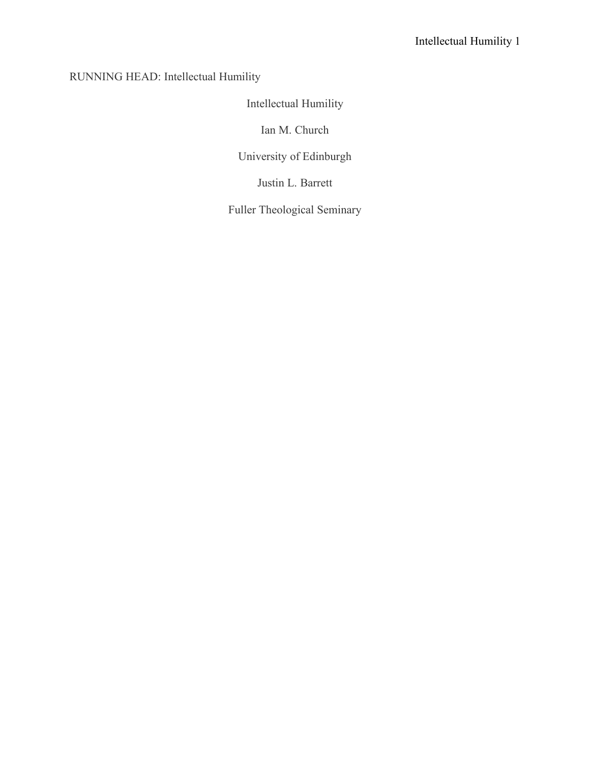# RUNNING HEAD: Intellectual Humility

# Intellectual Humility

Ian M. Church

University of Edinburgh

Justin L. Barrett

Fuller Theological Seminary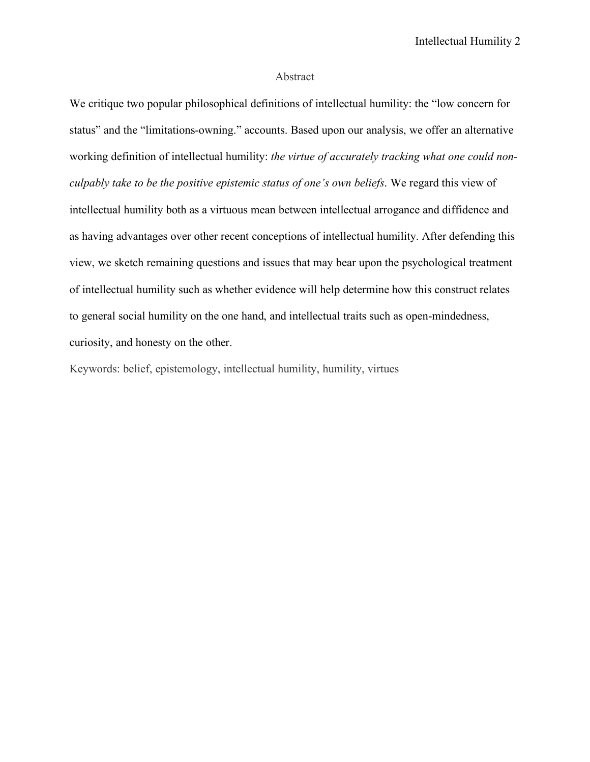## Abstract

We critique two popular philosophical definitions of intellectual humility: the "low concern for status" and the "limitations-owning." accounts. Based upon our analysis, we offer an alternative working definition of intellectual humility: *the virtue of accurately tracking what one could nonculpably take to be the positive epistemic status of one's own beliefs*. We regard this view of intellectual humility both as a virtuous mean between intellectual arrogance and diffidence and as having advantages over other recent conceptions of intellectual humility. After defending this view, we sketch remaining questions and issues that may bear upon the psychological treatment of intellectual humility such as whether evidence will help determine how this construct relates to general social humility on the one hand, and intellectual traits such as open-mindedness, curiosity, and honesty on the other.

Keywords: belief, epistemology, intellectual humility, humility, virtues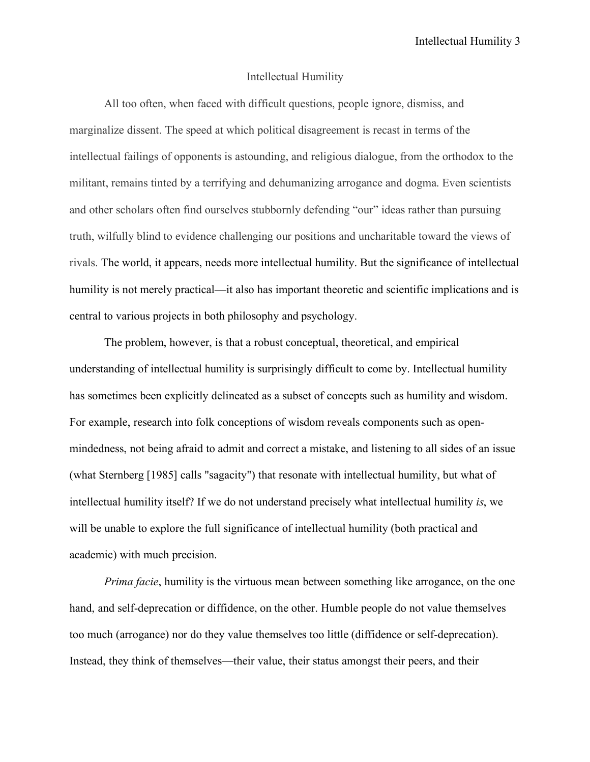# Intellectual Humility

All too often, when faced with difficult questions, people ignore, dismiss, and marginalize dissent. The speed at which political disagreement is recast in terms of the intellectual failings of opponents is astounding, and religious dialogue, from the orthodox to the militant, remains tinted by a terrifying and dehumanizing arrogance and dogma. Even scientists and other scholars often find ourselves stubbornly defending "our" ideas rather than pursuing truth, wilfully blind to evidence challenging our positions and uncharitable toward the views of rivals. The world, it appears, needs more intellectual humility. But the significance of intellectual humility is not merely practical—it also has important theoretic and scientific implications and is central to various projects in both philosophy and psychology.

The problem, however, is that a robust conceptual, theoretical, and empirical understanding of intellectual humility is surprisingly difficult to come by. Intellectual humility has sometimes been explicitly delineated as a subset of concepts such as humility and wisdom. For example, research into folk conceptions of wisdom reveals components such as openmindedness, not being afraid to admit and correct a mistake, and listening to all sides of an issue (what Sternberg [1985] calls "sagacity") that resonate with intellectual humility, but what of intellectual humility itself? If we do not understand precisely what intellectual humility *is*, we will be unable to explore the full significance of intellectual humility (both practical and academic) with much precision.

*Prima facie*, humility is the virtuous mean between something like arrogance, on the one hand, and self-deprecation or diffidence, on the other. Humble people do not value themselves too much (arrogance) nor do they value themselves too little (diffidence or self-deprecation). Instead, they think of themselves—their value, their status amongst their peers, and their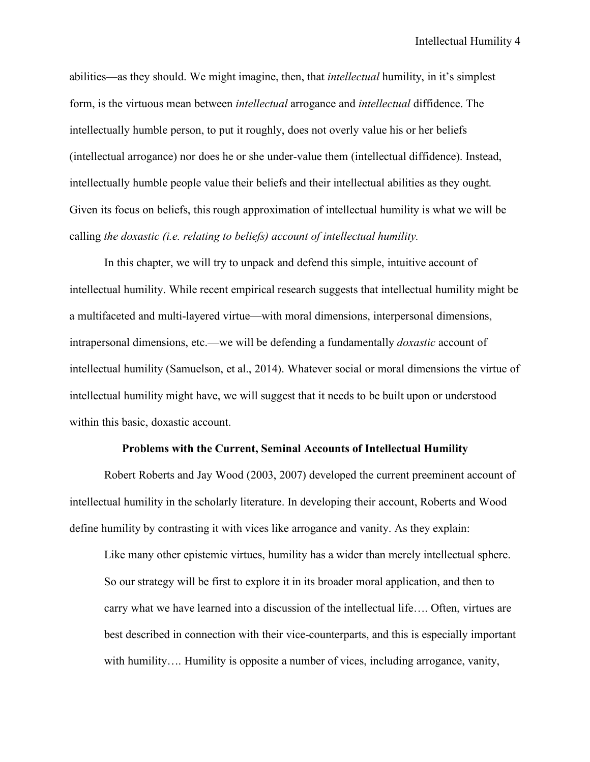abilities—as they should. We might imagine, then, that *intellectual* humility, in it's simplest form, is the virtuous mean between *intellectual* arrogance and *intellectual* diffidence. The intellectually humble person, to put it roughly, does not overly value his or her beliefs (intellectual arrogance) nor does he or she under-value them (intellectual diffidence). Instead, intellectually humble people value their beliefs and their intellectual abilities as they ought. Given its focus on beliefs, this rough approximation of intellectual humility is what we will be calling *the doxastic (i.e. relating to beliefs) account of intellectual humility.*

In this chapter, we will try to unpack and defend this simple, intuitive account of intellectual humility. While recent empirical research suggests that intellectual humility might be a multifaceted and multi-layered virtue—with moral dimensions, interpersonal dimensions, intrapersonal dimensions, etc.—we will be defending a fundamentally *doxastic* account of intellectual humility (Samuelson, et al., 2014). Whatever social or moral dimensions the virtue of intellectual humility might have, we will suggest that it needs to be built upon or understood within this basic, doxastic account.

## **Problems with the Current, Seminal Accounts of Intellectual Humility**

Robert Roberts and Jay Wood (2003, 2007) developed the current preeminent account of intellectual humility in the scholarly literature. In developing their account, Roberts and Wood define humility by contrasting it with vices like arrogance and vanity. As they explain:

Like many other epistemic virtues, humility has a wider than merely intellectual sphere. So our strategy will be first to explore it in its broader moral application, and then to carry what we have learned into a discussion of the intellectual life…. Often, virtues are best described in connection with their vice-counterparts, and this is especially important with humility…. Humility is opposite a number of vices, including arrogance, vanity,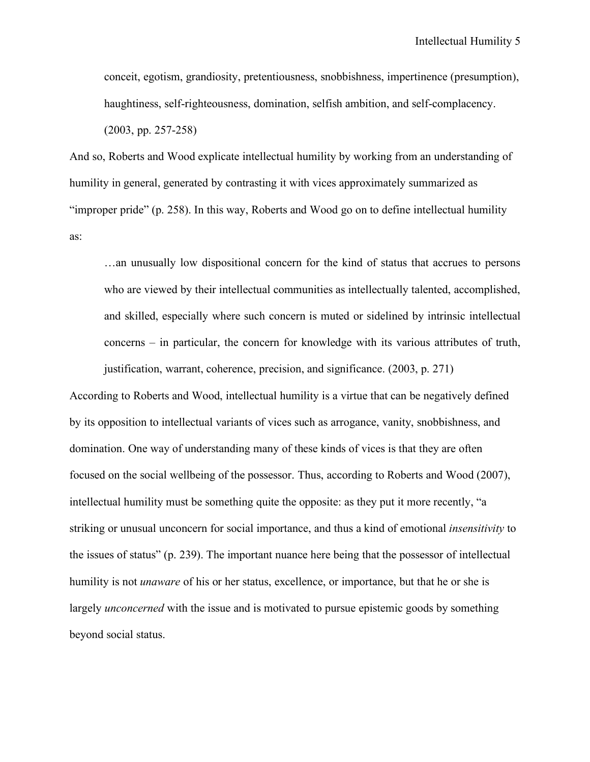conceit, egotism, grandiosity, pretentiousness, snobbishness, impertinence (presumption), haughtiness, self-righteousness, domination, selfish ambition, and self-complacency. (2003, pp. 257-258)

And so, Roberts and Wood explicate intellectual humility by working from an understanding of humility in general, generated by contrasting it with vices approximately summarized as "improper pride" (p. 258). In this way, Roberts and Wood go on to define intellectual humility as:

…an unusually low dispositional concern for the kind of status that accrues to persons who are viewed by their intellectual communities as intellectually talented, accomplished, and skilled, especially where such concern is muted or sidelined by intrinsic intellectual concerns – in particular, the concern for knowledge with its various attributes of truth, justification, warrant, coherence, precision, and significance. (2003, p. 271)

According to Roberts and Wood, intellectual humility is a virtue that can be negatively defined by its opposition to intellectual variants of vices such as arrogance, vanity, snobbishness, and domination. One way of understanding many of these kinds of vices is that they are often focused on the social wellbeing of the possessor. Thus, according to Roberts and Wood (2007), intellectual humility must be something quite the opposite: as they put it more recently, "a striking or unusual unconcern for social importance, and thus a kind of emotional *insensitivity* to the issues of status" (p. 239). The important nuance here being that the possessor of intellectual humility is not *unaware* of his or her status, excellence, or importance, but that he or she is largely *unconcerned* with the issue and is motivated to pursue epistemic goods by something beyond social status.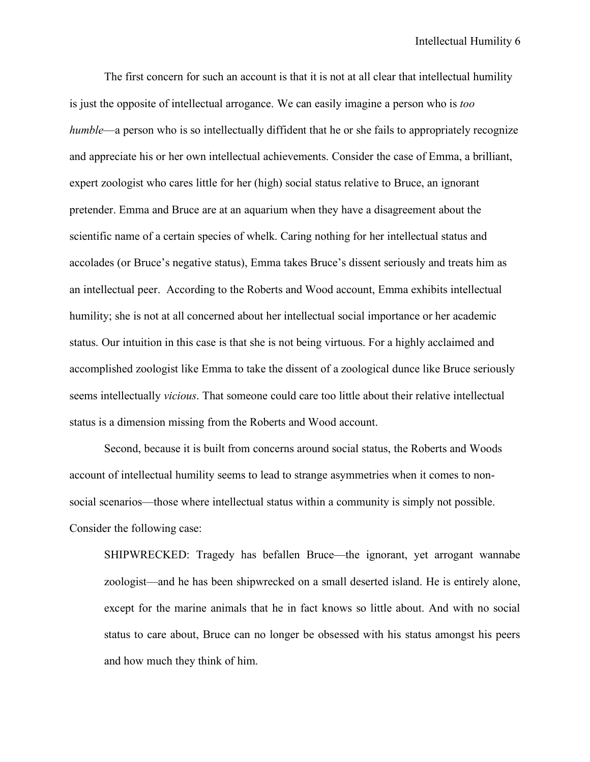The first concern for such an account is that it is not at all clear that intellectual humility is just the opposite of intellectual arrogance. We can easily imagine a person who is *too humble*—a person who is so intellectually diffident that he or she fails to appropriately recognize and appreciate his or her own intellectual achievements. Consider the case of Emma, a brilliant, expert zoologist who cares little for her (high) social status relative to Bruce, an ignorant pretender. Emma and Bruce are at an aquarium when they have a disagreement about the scientific name of a certain species of whelk. Caring nothing for her intellectual status and accolades (or Bruce's negative status), Emma takes Bruce's dissent seriously and treats him as an intellectual peer. According to the Roberts and Wood account, Emma exhibits intellectual humility; she is not at all concerned about her intellectual social importance or her academic status. Our intuition in this case is that she is not being virtuous. For a highly acclaimed and accomplished zoologist like Emma to take the dissent of a zoological dunce like Bruce seriously seems intellectually *vicious*. That someone could care too little about their relative intellectual status is a dimension missing from the Roberts and Wood account.

Second, because it is built from concerns around social status, the Roberts and Woods account of intellectual humility seems to lead to strange asymmetries when it comes to nonsocial scenarios—those where intellectual status within a community is simply not possible. Consider the following case:

SHIPWRECKED: Tragedy has befallen Bruce—the ignorant, yet arrogant wannabe zoologist—and he has been shipwrecked on a small deserted island. He is entirely alone, except for the marine animals that he in fact knows so little about. And with no social status to care about, Bruce can no longer be obsessed with his status amongst his peers and how much they think of him.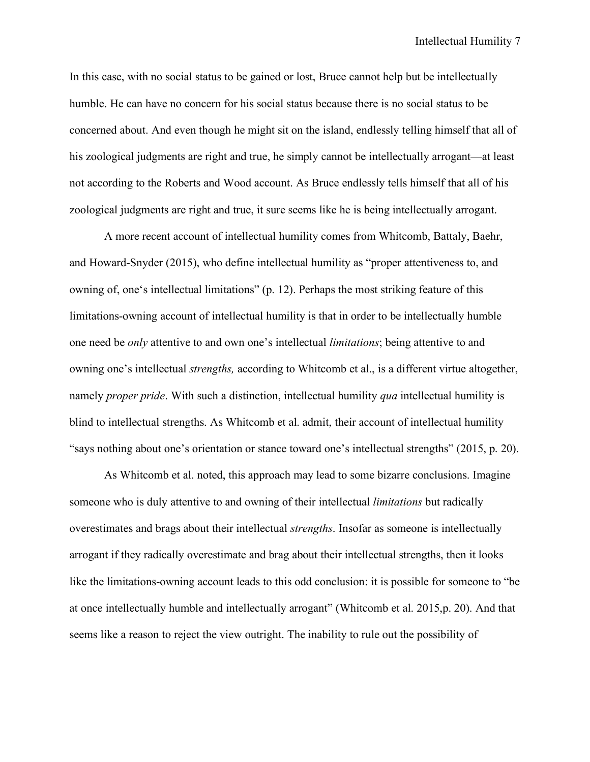In this case, with no social status to be gained or lost, Bruce cannot help but be intellectually humble. He can have no concern for his social status because there is no social status to be concerned about. And even though he might sit on the island, endlessly telling himself that all of his zoological judgments are right and true, he simply cannot be intellectually arrogant—at least not according to the Roberts and Wood account. As Bruce endlessly tells himself that all of his zoological judgments are right and true, it sure seems like he is being intellectually arrogant.

A more recent account of intellectual humility comes from Whitcomb, Battaly, Baehr, and Howard-Snyder (2015), who define intellectual humility as "proper attentiveness to, and owning of, one's intellectual limitations" (p. 12). Perhaps the most striking feature of this limitations-owning account of intellectual humility is that in order to be intellectually humble one need be *only* attentive to and own one's intellectual *limitations*; being attentive to and owning one's intellectual *strengths,* according to Whitcomb et al., is a different virtue altogether, namely *proper pride*. With such a distinction, intellectual humility *qua* intellectual humility is blind to intellectual strengths. As Whitcomb et al. admit, their account of intellectual humility "says nothing about one's orientation or stance toward one's intellectual strengths" (2015, p. 20).

As Whitcomb et al. noted, this approach may lead to some bizarre conclusions. Imagine someone who is duly attentive to and owning of their intellectual *limitations* but radically overestimates and brags about their intellectual *strengths*. Insofar as someone is intellectually arrogant if they radically overestimate and brag about their intellectual strengths, then it looks like the limitations-owning account leads to this odd conclusion: it is possible for someone to "be at once intellectually humble and intellectually arrogant" (Whitcomb et al. 2015,p. 20). And that seems like a reason to reject the view outright. The inability to rule out the possibility of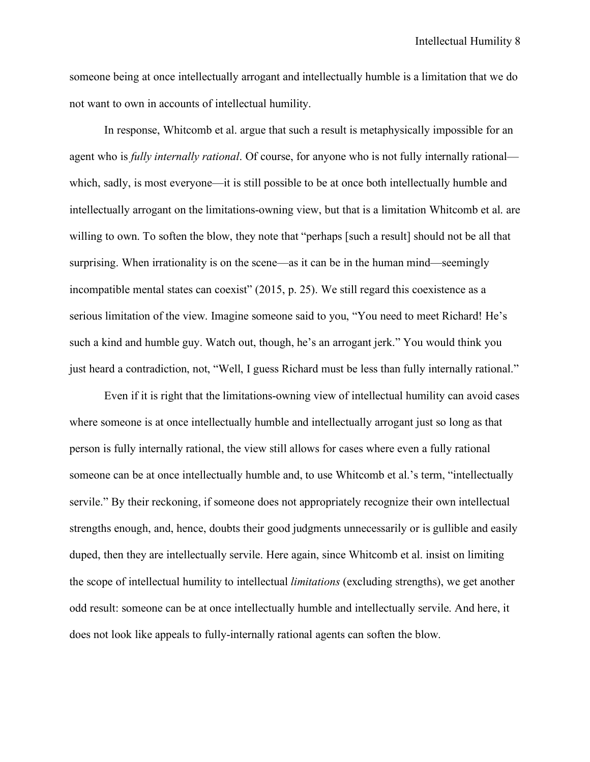someone being at once intellectually arrogant and intellectually humble is a limitation that we do not want to own in accounts of intellectual humility.

In response, Whitcomb et al. argue that such a result is metaphysically impossible for an agent who is *fully internally rational*. Of course, for anyone who is not fully internally rational which, sadly, is most everyone—it is still possible to be at once both intellectually humble and intellectually arrogant on the limitations-owning view, but that is a limitation Whitcomb et al. are willing to own. To soften the blow, they note that "perhaps [such a result] should not be all that surprising. When irrationality is on the scene—as it can be in the human mind—seemingly incompatible mental states can coexist" (2015, p. 25). We still regard this coexistence as a serious limitation of the view. Imagine someone said to you, "You need to meet Richard! He's such a kind and humble guy. Watch out, though, he's an arrogant jerk." You would think you just heard a contradiction, not, "Well, I guess Richard must be less than fully internally rational."

Even if it is right that the limitations-owning view of intellectual humility can avoid cases where someone is at once intellectually humble and intellectually arrogant just so long as that person is fully internally rational, the view still allows for cases where even a fully rational someone can be at once intellectually humble and, to use Whitcomb et al.'s term, "intellectually servile." By their reckoning, if someone does not appropriately recognize their own intellectual strengths enough, and, hence, doubts their good judgments unnecessarily or is gullible and easily duped, then they are intellectually servile. Here again, since Whitcomb et al. insist on limiting the scope of intellectual humility to intellectual *limitations* (excluding strengths), we get another odd result: someone can be at once intellectually humble and intellectually servile. And here, it does not look like appeals to fully-internally rational agents can soften the blow.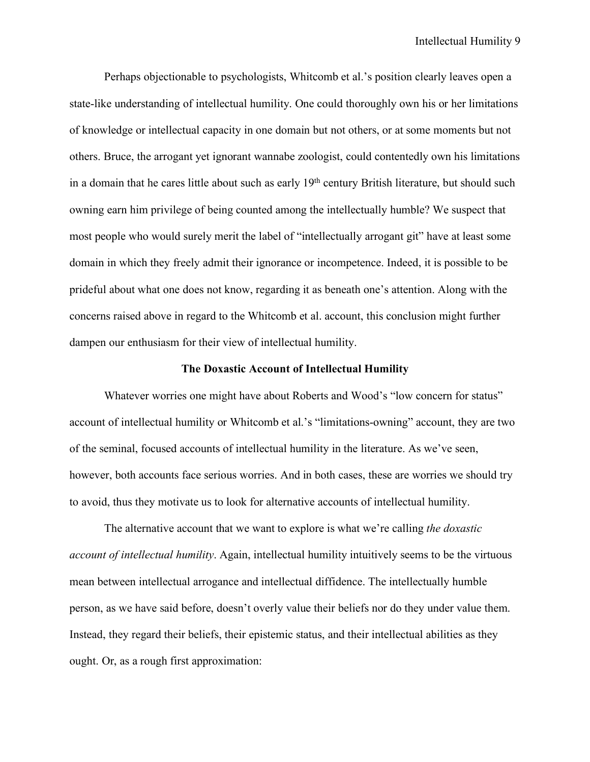Perhaps objectionable to psychologists, Whitcomb et al.'s position clearly leaves open a state-like understanding of intellectual humility. One could thoroughly own his or her limitations of knowledge or intellectual capacity in one domain but not others, or at some moments but not others. Bruce, the arrogant yet ignorant wannabe zoologist, could contentedly own his limitations in a domain that he cares little about such as early 19<sup>th</sup> century British literature, but should such owning earn him privilege of being counted among the intellectually humble? We suspect that most people who would surely merit the label of "intellectually arrogant git" have at least some domain in which they freely admit their ignorance or incompetence. Indeed, it is possible to be prideful about what one does not know, regarding it as beneath one's attention. Along with the concerns raised above in regard to the Whitcomb et al. account, this conclusion might further dampen our enthusiasm for their view of intellectual humility.

### **The Doxastic Account of Intellectual Humility**

Whatever worries one might have about Roberts and Wood's "low concern for status" account of intellectual humility or Whitcomb et al.'s "limitations-owning" account, they are two of the seminal, focused accounts of intellectual humility in the literature. As we've seen, however, both accounts face serious worries. And in both cases, these are worries we should try to avoid, thus they motivate us to look for alternative accounts of intellectual humility.

The alternative account that we want to explore is what we're calling *the doxastic account of intellectual humility*. Again, intellectual humility intuitively seems to be the virtuous mean between intellectual arrogance and intellectual diffidence. The intellectually humble person, as we have said before, doesn't overly value their beliefs nor do they under value them. Instead, they regard their beliefs, their epistemic status, and their intellectual abilities as they ought. Or, as a rough first approximation: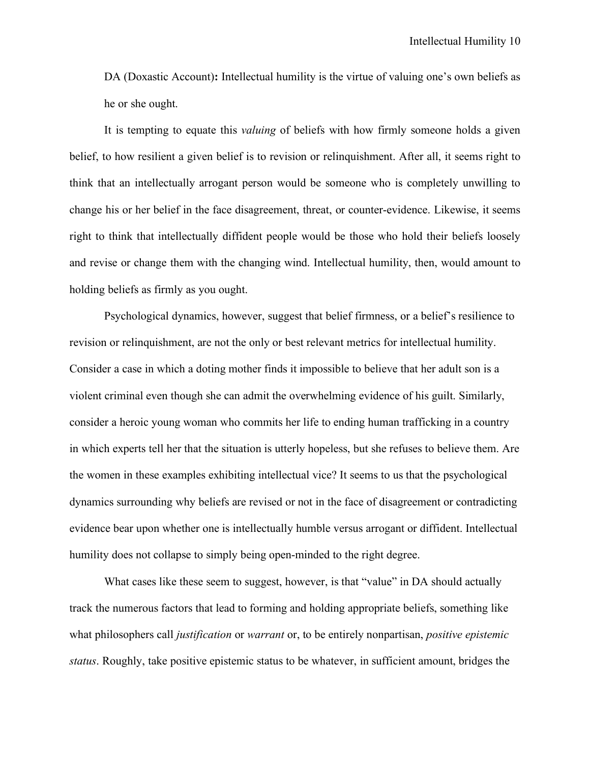DA (Doxastic Account)**:** Intellectual humility is the virtue of valuing one's own beliefs as he or she ought.

It is tempting to equate this *valuing* of beliefs with how firmly someone holds a given belief, to how resilient a given belief is to revision or relinquishment. After all, it seems right to think that an intellectually arrogant person would be someone who is completely unwilling to change his or her belief in the face disagreement, threat, or counter-evidence. Likewise, it seems right to think that intellectually diffident people would be those who hold their beliefs loosely and revise or change them with the changing wind. Intellectual humility, then, would amount to holding beliefs as firmly as you ought.

Psychological dynamics, however, suggest that belief firmness, or a belief's resilience to revision or relinquishment, are not the only or best relevant metrics for intellectual humility. Consider a case in which a doting mother finds it impossible to believe that her adult son is a violent criminal even though she can admit the overwhelming evidence of his guilt. Similarly, consider a heroic young woman who commits her life to ending human trafficking in a country in which experts tell her that the situation is utterly hopeless, but she refuses to believe them. Are the women in these examples exhibiting intellectual vice? It seems to us that the psychological dynamics surrounding why beliefs are revised or not in the face of disagreement or contradicting evidence bear upon whether one is intellectually humble versus arrogant or diffident. Intellectual humility does not collapse to simply being open-minded to the right degree.

What cases like these seem to suggest, however, is that "value" in DA should actually track the numerous factors that lead to forming and holding appropriate beliefs, something like what philosophers call *justification* or *warrant* or, to be entirely nonpartisan, *positive epistemic status*. Roughly, take positive epistemic status to be whatever, in sufficient amount, bridges the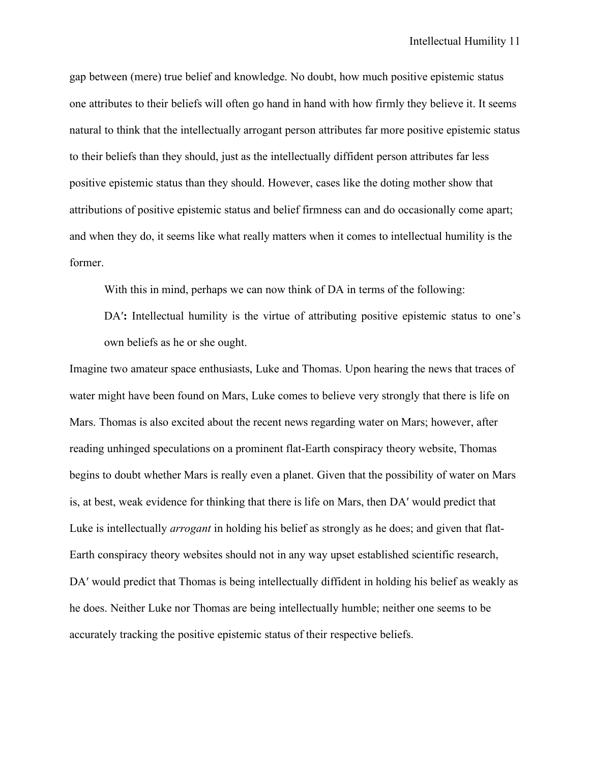gap between (mere) true belief and knowledge. No doubt, how much positive epistemic status one attributes to their beliefs will often go hand in hand with how firmly they believe it. It seems natural to think that the intellectually arrogant person attributes far more positive epistemic status to their beliefs than they should, just as the intellectually diffident person attributes far less positive epistemic status than they should. However, cases like the doting mother show that attributions of positive epistemic status and belief firmness can and do occasionally come apart; and when they do, it seems like what really matters when it comes to intellectual humility is the former.

With this in mind, perhaps we can now think of DA in terms of the following:

DA': Intellectual humility is the virtue of attributing positive epistemic status to one's own beliefs as he or she ought.

Imagine two amateur space enthusiasts, Luke and Thomas. Upon hearing the news that traces of water might have been found on Mars, Luke comes to believe very strongly that there is life on Mars. Thomas is also excited about the recent news regarding water on Mars; however, after reading unhinged speculations on a prominent flat-Earth conspiracy theory website, Thomas begins to doubt whether Mars is really even a planet. Given that the possibility of water on Mars is, at best, weak evidence for thinking that there is life on Mars, then DA′ would predict that Luke is intellectually *arrogant* in holding his belief as strongly as he does; and given that flat-Earth conspiracy theory websites should not in any way upset established scientific research, DA′ would predict that Thomas is being intellectually diffident in holding his belief as weakly as he does. Neither Luke nor Thomas are being intellectually humble; neither one seems to be accurately tracking the positive epistemic status of their respective beliefs.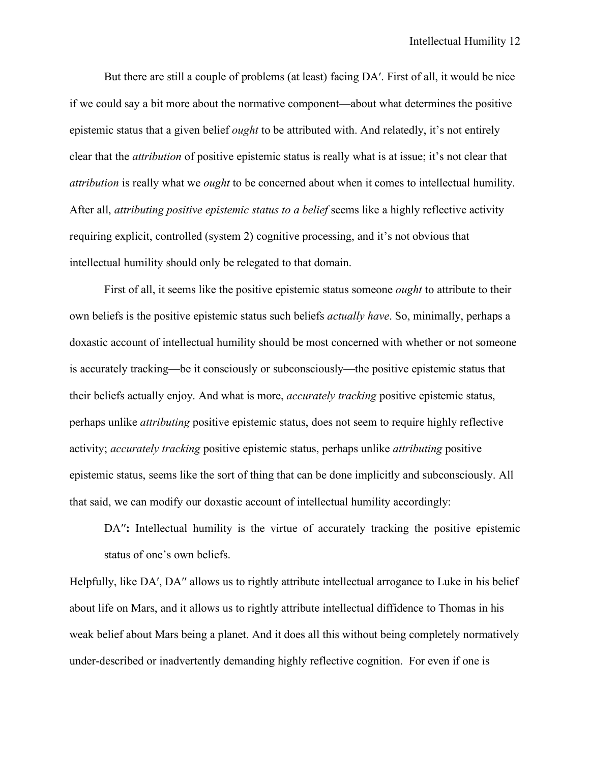But there are still a couple of problems (at least) facing DA′. First of all, it would be nice if we could say a bit more about the normative component—about what determines the positive epistemic status that a given belief *ought* to be attributed with. And relatedly, it's not entirely clear that the *attribution* of positive epistemic status is really what is at issue; it's not clear that *attribution* is really what we *ought* to be concerned about when it comes to intellectual humility. After all, *attributing positive epistemic status to a belief* seems like a highly reflective activity requiring explicit, controlled (system 2) cognitive processing, and it's not obvious that intellectual humility should only be relegated to that domain.

First of all, it seems like the positive epistemic status someone *ought* to attribute to their own beliefs is the positive epistemic status such beliefs *actually have*. So, minimally, perhaps a doxastic account of intellectual humility should be most concerned with whether or not someone is accurately tracking—be it consciously or subconsciously—the positive epistemic status that their beliefs actually enjoy. And what is more, *accurately tracking* positive epistemic status, perhaps unlike *attributing* positive epistemic status, does not seem to require highly reflective activity; *accurately tracking* positive epistemic status, perhaps unlike *attributing* positive epistemic status, seems like the sort of thing that can be done implicitly and subconsciously. All that said, we can modify our doxastic account of intellectual humility accordingly:

DA'': Intellectual humility is the virtue of accurately tracking the positive epistemic status of one's own beliefs.

Helpfully, like DA', DA'' allows us to rightly attribute intellectual arrogance to Luke in his belief about life on Mars, and it allows us to rightly attribute intellectual diffidence to Thomas in his weak belief about Mars being a planet. And it does all this without being completely normatively under-described or inadvertently demanding highly reflective cognition. For even if one is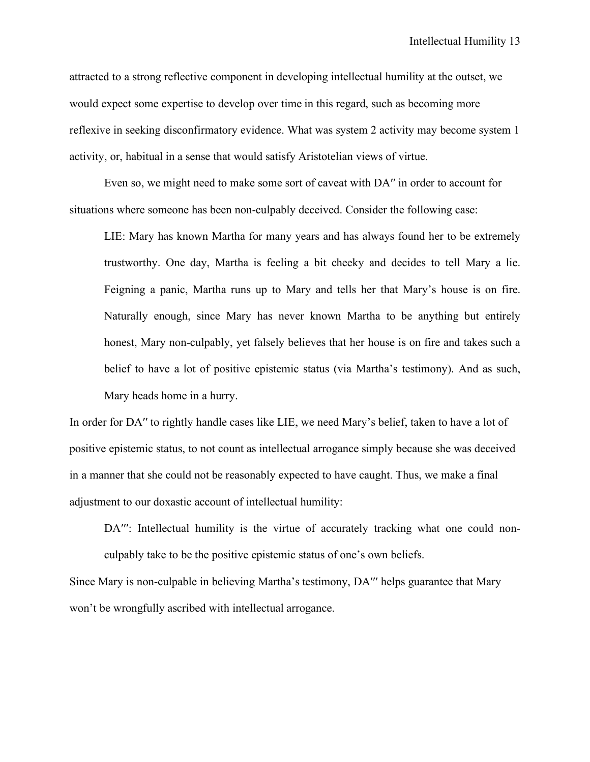attracted to a strong reflective component in developing intellectual humility at the outset, we would expect some expertise to develop over time in this regard, such as becoming more reflexive in seeking disconfirmatory evidence. What was system 2 activity may become system 1 activity, or, habitual in a sense that would satisfy Aristotelian views of virtue.

Even so, we might need to make some sort of caveat with DA'' in order to account for situations where someone has been non-culpably deceived. Consider the following case:

LIE: Mary has known Martha for many years and has always found her to be extremely trustworthy. One day, Martha is feeling a bit cheeky and decides to tell Mary a lie. Feigning a panic, Martha runs up to Mary and tells her that Mary's house is on fire. Naturally enough, since Mary has never known Martha to be anything but entirely honest, Mary non-culpably, yet falsely believes that her house is on fire and takes such a belief to have a lot of positive epistemic status (via Martha's testimony). And as such, Mary heads home in a hurry.

In order for DA" to rightly handle cases like LIE, we need Mary's belief, taken to have a lot of positive epistemic status, to not count as intellectual arrogance simply because she was deceived in a manner that she could not be reasonably expected to have caught. Thus, we make a final adjustment to our doxastic account of intellectual humility:

DA''': Intellectual humility is the virtue of accurately tracking what one could nonculpably take to be the positive epistemic status of one's own beliefs.

Since Mary is non-culpable in believing Martha's testimony, DA''' helps guarantee that Mary won't be wrongfully ascribed with intellectual arrogance.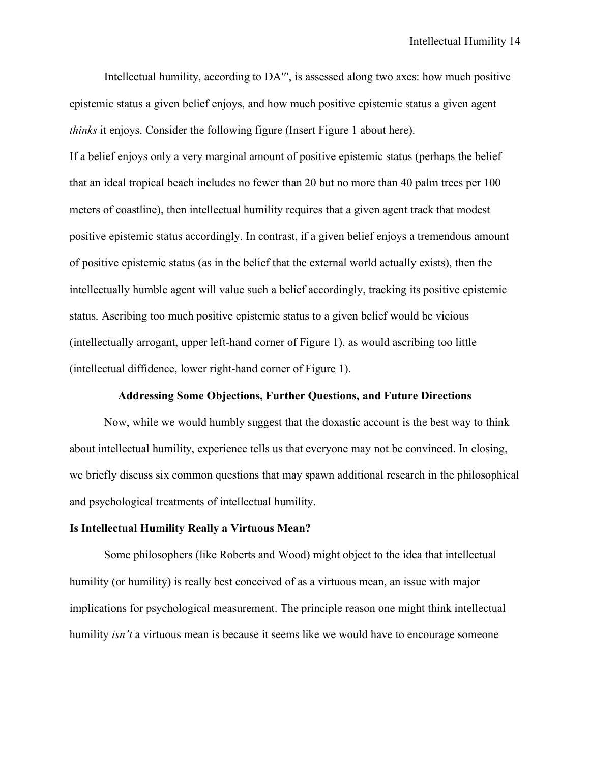Intellectual humility, according to DA<sup> $^{\prime\prime}$ </sup>, is assessed along two axes: how much positive epistemic status a given belief enjoys, and how much positive epistemic status a given agent *thinks* it enjoys. Consider the following figure (Insert Figure 1 about here).

If a belief enjoys only a very marginal amount of positive epistemic status (perhaps the belief that an ideal tropical beach includes no fewer than 20 but no more than 40 palm trees per 100 meters of coastline), then intellectual humility requires that a given agent track that modest positive epistemic status accordingly. In contrast, if a given belief enjoys a tremendous amount of positive epistemic status (as in the belief that the external world actually exists), then the intellectually humble agent will value such a belief accordingly, tracking its positive epistemic status. Ascribing too much positive epistemic status to a given belief would be vicious (intellectually arrogant, upper left-hand corner of Figure 1), as would ascribing too little (intellectual diffidence, lower right-hand corner of Figure 1).

#### **Addressing Some Objections, Further Questions, and Future Directions**

Now, while we would humbly suggest that the doxastic account is the best way to think about intellectual humility, experience tells us that everyone may not be convinced. In closing, we briefly discuss six common questions that may spawn additional research in the philosophical and psychological treatments of intellectual humility.

#### **Is Intellectual Humility Really a Virtuous Mean?**

Some philosophers (like Roberts and Wood) might object to the idea that intellectual humility (or humility) is really best conceived of as a virtuous mean, an issue with major implications for psychological measurement. The principle reason one might think intellectual humility *isn't* a virtuous mean is because it seems like we would have to encourage someone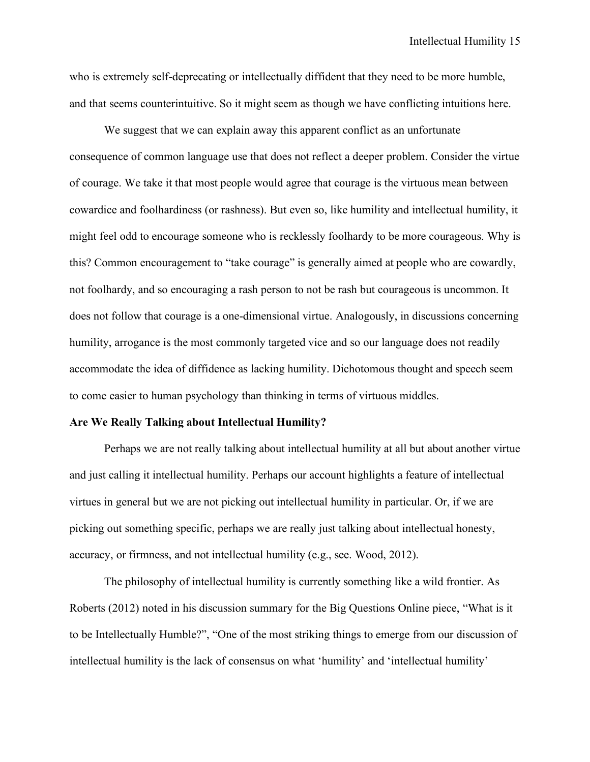who is extremely self-deprecating or intellectually diffident that they need to be more humble, and that seems counterintuitive. So it might seem as though we have conflicting intuitions here.

We suggest that we can explain away this apparent conflict as an unfortunate consequence of common language use that does not reflect a deeper problem. Consider the virtue of courage. We take it that most people would agree that courage is the virtuous mean between cowardice and foolhardiness (or rashness). But even so, like humility and intellectual humility, it might feel odd to encourage someone who is recklessly foolhardy to be more courageous. Why is this? Common encouragement to "take courage" is generally aimed at people who are cowardly, not foolhardy, and so encouraging a rash person to not be rash but courageous is uncommon. It does not follow that courage is a one-dimensional virtue. Analogously, in discussions concerning humility, arrogance is the most commonly targeted vice and so our language does not readily accommodate the idea of diffidence as lacking humility. Dichotomous thought and speech seem to come easier to human psychology than thinking in terms of virtuous middles.

### **Are We Really Talking about Intellectual Humility?**

Perhaps we are not really talking about intellectual humility at all but about another virtue and just calling it intellectual humility. Perhaps our account highlights a feature of intellectual virtues in general but we are not picking out intellectual humility in particular. Or, if we are picking out something specific, perhaps we are really just talking about intellectual honesty, accuracy, or firmness, and not intellectual humility (e.g., see. Wood, 2012).

The philosophy of intellectual humility is currently something like a wild frontier. As Roberts (2012) noted in his discussion summary for the Big Questions Online piece, "What is it to be Intellectually Humble?", "One of the most striking things to emerge from our discussion of intellectual humility is the lack of consensus on what 'humility' and 'intellectual humility'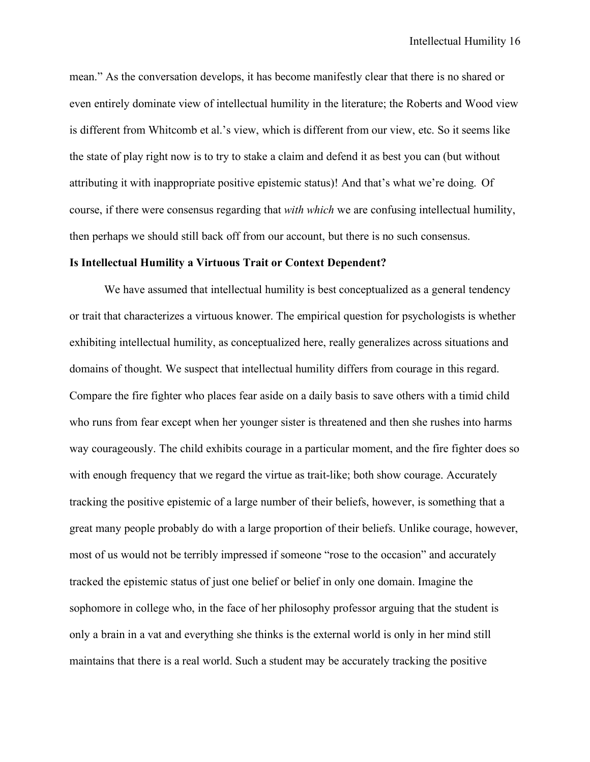mean." As the conversation develops, it has become manifestly clear that there is no shared or even entirely dominate view of intellectual humility in the literature; the Roberts and Wood view is different from Whitcomb et al.'s view, which is different from our view, etc. So it seems like the state of play right now is to try to stake a claim and defend it as best you can (but without attributing it with inappropriate positive epistemic status)! And that's what we're doing. Of course, if there were consensus regarding that *with which* we are confusing intellectual humility, then perhaps we should still back off from our account, but there is no such consensus.

#### **Is Intellectual Humility a Virtuous Trait or Context Dependent?**

We have assumed that intellectual humility is best conceptualized as a general tendency or trait that characterizes a virtuous knower. The empirical question for psychologists is whether exhibiting intellectual humility, as conceptualized here, really generalizes across situations and domains of thought. We suspect that intellectual humility differs from courage in this regard. Compare the fire fighter who places fear aside on a daily basis to save others with a timid child who runs from fear except when her younger sister is threatened and then she rushes into harms way courageously. The child exhibits courage in a particular moment, and the fire fighter does so with enough frequency that we regard the virtue as trait-like; both show courage. Accurately tracking the positive epistemic of a large number of their beliefs, however, is something that a great many people probably do with a large proportion of their beliefs. Unlike courage, however, most of us would not be terribly impressed if someone "rose to the occasion" and accurately tracked the epistemic status of just one belief or belief in only one domain. Imagine the sophomore in college who, in the face of her philosophy professor arguing that the student is only a brain in a vat and everything she thinks is the external world is only in her mind still maintains that there is a real world. Such a student may be accurately tracking the positive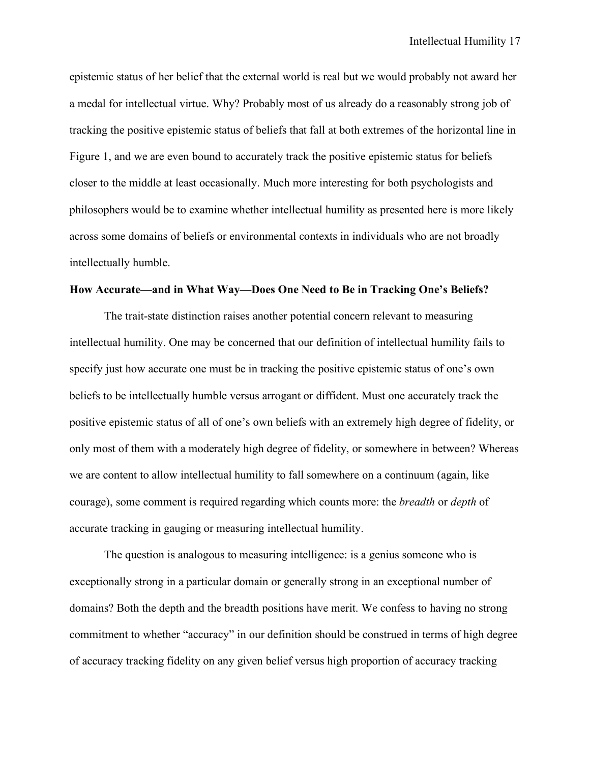epistemic status of her belief that the external world is real but we would probably not award her a medal for intellectual virtue. Why? Probably most of us already do a reasonably strong job of tracking the positive epistemic status of beliefs that fall at both extremes of the horizontal line in Figure 1, and we are even bound to accurately track the positive epistemic status for beliefs closer to the middle at least occasionally. Much more interesting for both psychologists and philosophers would be to examine whether intellectual humility as presented here is more likely across some domains of beliefs or environmental contexts in individuals who are not broadly intellectually humble.

#### **How Accurate—and in What Way—Does One Need to Be in Tracking One's Beliefs?**

The trait-state distinction raises another potential concern relevant to measuring intellectual humility. One may be concerned that our definition of intellectual humility fails to specify just how accurate one must be in tracking the positive epistemic status of one's own beliefs to be intellectually humble versus arrogant or diffident. Must one accurately track the positive epistemic status of all of one's own beliefs with an extremely high degree of fidelity, or only most of them with a moderately high degree of fidelity, or somewhere in between? Whereas we are content to allow intellectual humility to fall somewhere on a continuum (again, like courage), some comment is required regarding which counts more: the *breadth* or *depth* of accurate tracking in gauging or measuring intellectual humility.

The question is analogous to measuring intelligence: is a genius someone who is exceptionally strong in a particular domain or generally strong in an exceptional number of domains? Both the depth and the breadth positions have merit. We confess to having no strong commitment to whether "accuracy" in our definition should be construed in terms of high degree of accuracy tracking fidelity on any given belief versus high proportion of accuracy tracking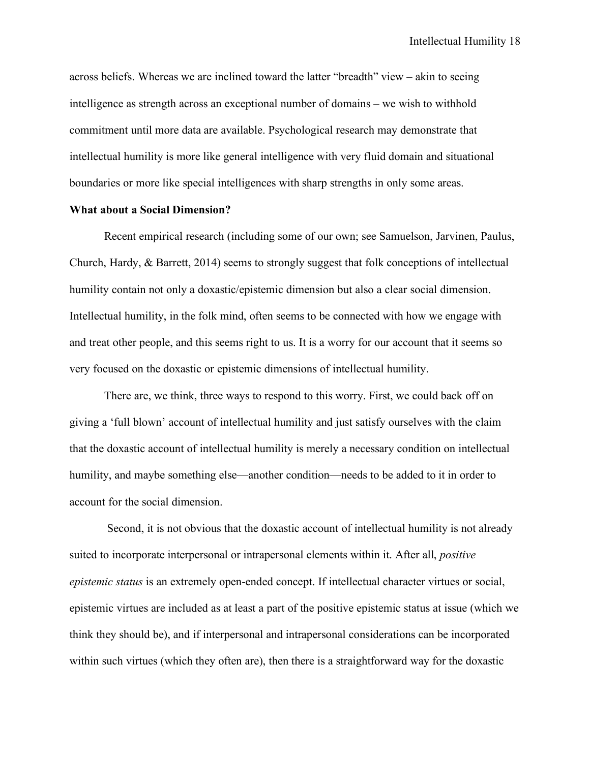across beliefs. Whereas we are inclined toward the latter "breadth" view – akin to seeing intelligence as strength across an exceptional number of domains – we wish to withhold commitment until more data are available. Psychological research may demonstrate that intellectual humility is more like general intelligence with very fluid domain and situational boundaries or more like special intelligences with sharp strengths in only some areas.

# **What about a Social Dimension?**

Recent empirical research (including some of our own; see Samuelson, Jarvinen, Paulus, Church, Hardy, & Barrett, 2014) seems to strongly suggest that folk conceptions of intellectual humility contain not only a doxastic/epistemic dimension but also a clear social dimension. Intellectual humility, in the folk mind, often seems to be connected with how we engage with and treat other people, and this seems right to us. It is a worry for our account that it seems so very focused on the doxastic or epistemic dimensions of intellectual humility.

There are, we think, three ways to respond to this worry. First, we could back off on giving a 'full blown' account of intellectual humility and just satisfy ourselves with the claim that the doxastic account of intellectual humility is merely a necessary condition on intellectual humility, and maybe something else—another condition—needs to be added to it in order to account for the social dimension.

Second, it is not obvious that the doxastic account of intellectual humility is not already suited to incorporate interpersonal or intrapersonal elements within it. After all, *positive epistemic status* is an extremely open-ended concept. If intellectual character virtues or social, epistemic virtues are included as at least a part of the positive epistemic status at issue (which we think they should be), and if interpersonal and intrapersonal considerations can be incorporated within such virtues (which they often are), then there is a straightforward way for the doxastic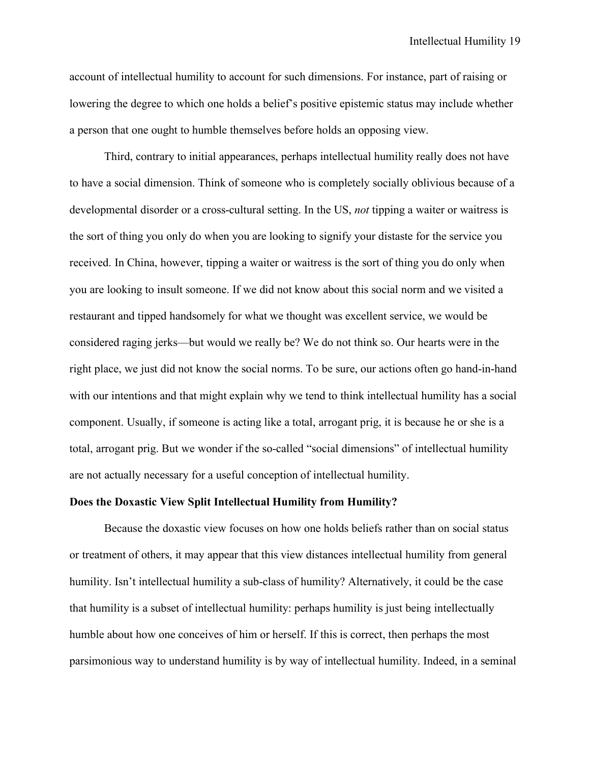account of intellectual humility to account for such dimensions. For instance, part of raising or lowering the degree to which one holds a belief's positive epistemic status may include whether a person that one ought to humble themselves before holds an opposing view.

Third, contrary to initial appearances, perhaps intellectual humility really does not have to have a social dimension. Think of someone who is completely socially oblivious because of a developmental disorder or a cross-cultural setting. In the US, *not* tipping a waiter or waitress is the sort of thing you only do when you are looking to signify your distaste for the service you received. In China, however, tipping a waiter or waitress is the sort of thing you do only when you are looking to insult someone. If we did not know about this social norm and we visited a restaurant and tipped handsomely for what we thought was excellent service, we would be considered raging jerks—but would we really be? We do not think so. Our hearts were in the right place, we just did not know the social norms. To be sure, our actions often go hand-in-hand with our intentions and that might explain why we tend to think intellectual humility has a social component. Usually, if someone is acting like a total, arrogant prig, it is because he or she is a total, arrogant prig. But we wonder if the so-called "social dimensions" of intellectual humility are not actually necessary for a useful conception of intellectual humility.

# **Does the Doxastic View Split Intellectual Humility from Humility?**

Because the doxastic view focuses on how one holds beliefs rather than on social status or treatment of others, it may appear that this view distances intellectual humility from general humility. Isn't intellectual humility a sub-class of humility? Alternatively, it could be the case that humility is a subset of intellectual humility: perhaps humility is just being intellectually humble about how one conceives of him or herself. If this is correct, then perhaps the most parsimonious way to understand humility is by way of intellectual humility. Indeed, in a seminal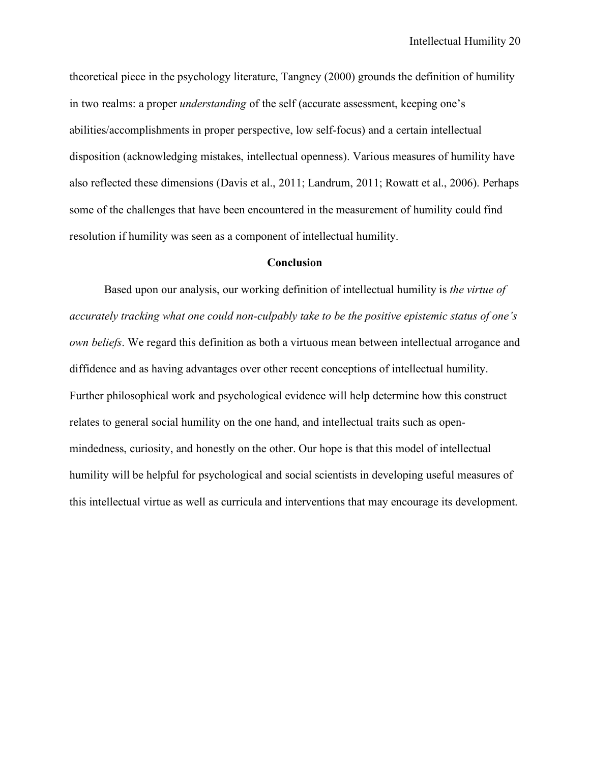theoretical piece in the psychology literature, Tangney (2000) grounds the definition of humility in two realms: a proper *understanding* of the self (accurate assessment, keeping one's abilities/accomplishments in proper perspective, low self-focus) and a certain intellectual disposition (acknowledging mistakes, intellectual openness). Various measures of humility have also reflected these dimensions (Davis et al., 2011; Landrum, 2011; Rowatt et al., 2006). Perhaps some of the challenges that have been encountered in the measurement of humility could find resolution if humility was seen as a component of intellectual humility.

# **Conclusion**

Based upon our analysis, our working definition of intellectual humility is *the virtue of accurately tracking what one could non-culpably take to be the positive epistemic status of one's own beliefs*. We regard this definition as both a virtuous mean between intellectual arrogance and diffidence and as having advantages over other recent conceptions of intellectual humility. Further philosophical work and psychological evidence will help determine how this construct relates to general social humility on the one hand, and intellectual traits such as openmindedness, curiosity, and honestly on the other. Our hope is that this model of intellectual humility will be helpful for psychological and social scientists in developing useful measures of this intellectual virtue as well as curricula and interventions that may encourage its development.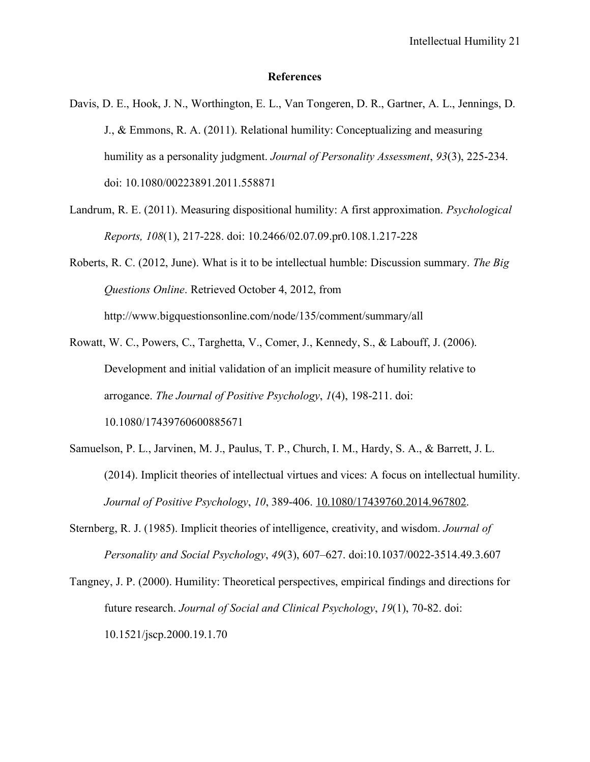## **References**

- Davis, D. E., Hook, J. N., Worthington, E. L., Van Tongeren, D. R., Gartner, A. L., Jennings, D. J., & Emmons, R. A. (2011). Relational humility: Conceptualizing and measuring humility as a personality judgment. *Journal of Personality Assessment*, *93*(3), 225-234. doi: 10.1080/00223891.2011.558871
- Landrum, R. E. (2011). Measuring dispositional humility: A first approximation. *Psychological Reports, 108*(1), 217-228. doi: 10.2466/02.07.09.pr0.108.1.217-228
- Roberts, R. C. (2012, June). What is it to be intellectual humble: Discussion summary. *The Big Questions Online*. Retrieved October 4, 2012, from http://www.bigquestionsonline.com/node/135/comment/summary/all
- Rowatt, W. C., Powers, C., Targhetta, V., Comer, J., Kennedy, S., & Labouff, J. (2006). Development and initial validation of an implicit measure of humility relative to arrogance. *The Journal of Positive Psychology*, *1*(4), 198-211. doi: 10.1080/17439760600885671
- Samuelson, P. L., Jarvinen, M. J., Paulus, T. P., Church, I. M., Hardy, S. A., & Barrett, J. L. (2014). Implicit theories of intellectual virtues and vices: A focus on intellectual humility. *Journal of Positive Psychology*, *10*, 389-406. 10.1080/17439760.2014.967802.
- Sternberg, R. J. (1985). Implicit theories of intelligence, creativity, and wisdom. *Journal of Personality and Social Psychology*, *49*(3), 607–627. doi:10.1037/0022-3514.49.3.607
- Tangney, J. P. (2000). Humility: Theoretical perspectives, empirical findings and directions for future research. *Journal of Social and Clinical Psychology*, *19*(1), 70-82. doi: 10.1521/jscp.2000.19.1.70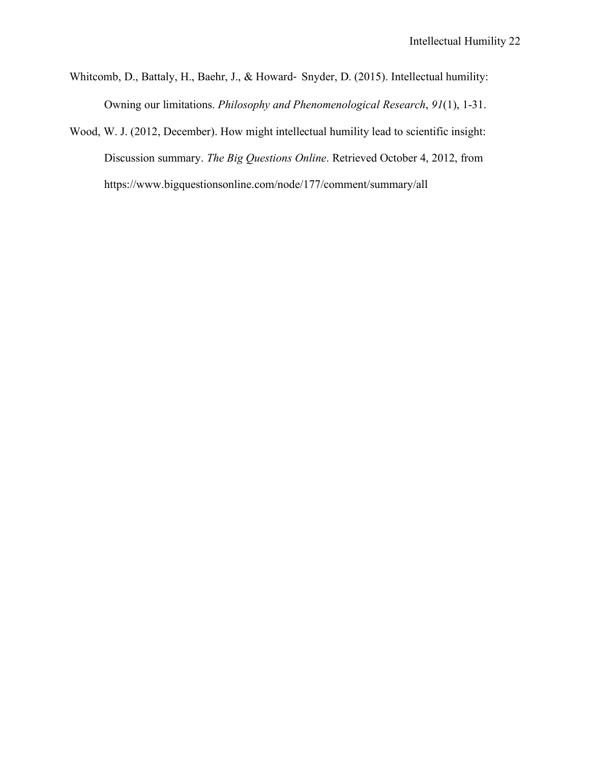- Whitcomb, D., Battaly, H., Baehr, J., & Howard- Snyder, D. (2015). Intellectual humility: Owning our limitations. *Philosophy and Phenomenological Research*, *91*(1), 1-31.
- Wood, W. J. (2012, December). How might intellectual humility lead to scientific insight: Discussion summary. *The Big Questions Online*. Retrieved October 4, 2012, from https://www.bigquestionsonline.com/node/177/comment/summary/all